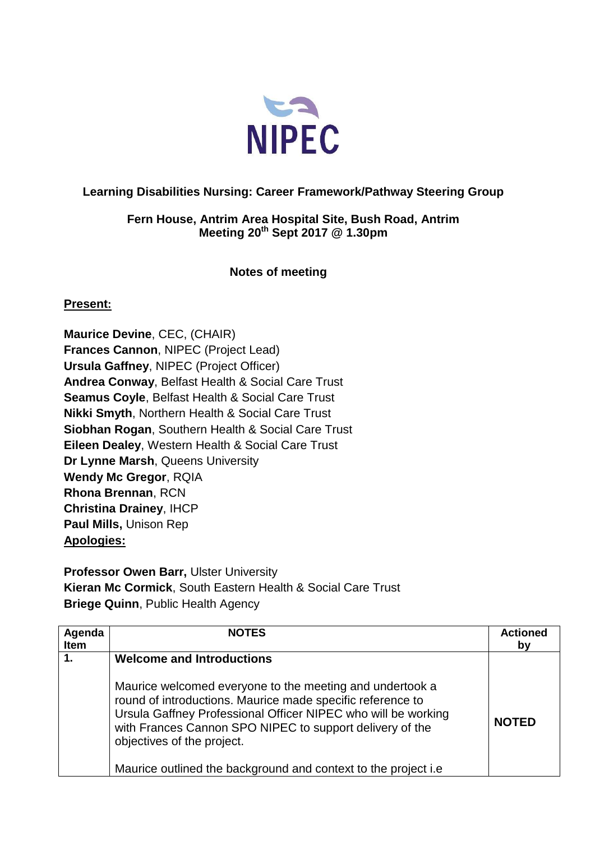

## **Learning Disabilities Nursing: Career Framework/Pathway Steering Group**

## **Fern House, Antrim Area Hospital Site, Bush Road, Antrim Meeting 20th Sept 2017 @ 1.30pm**

## **Notes of meeting**

## **Present:**

**Maurice Devine**, CEC, (CHAIR) **Frances Cannon**, NIPEC (Project Lead) **Ursula Gaffney**, NIPEC (Project Officer) **Andrea Conway**, Belfast Health & Social Care Trust **Seamus Coyle**, Belfast Health & Social Care Trust **Nikki Smyth**, Northern Health & Social Care Trust **Siobhan Rogan**, Southern Health & Social Care Trust **Eileen Dealey**, Western Health & Social Care Trust **Dr Lynne Marsh**, Queens University **Wendy Mc Gregor**, RQIA **Rhona Brennan**, RCN **Christina Drainey**, IHCP **Paul Mills,** Unison Rep **Apologies:**

**Professor Owen Barr,** Ulster University **Kieran Mc Cormick**, South Eastern Health & Social Care Trust **Briege Quinn**, Public Health Agency

| Agenda<br>Item | <b>NOTES</b>                                                                                                                                                                                                                                                                                                                                         | <b>Actioned</b><br>bν |
|----------------|------------------------------------------------------------------------------------------------------------------------------------------------------------------------------------------------------------------------------------------------------------------------------------------------------------------------------------------------------|-----------------------|
| 1.             | <b>Welcome and Introductions</b>                                                                                                                                                                                                                                                                                                                     |                       |
|                | Maurice welcomed everyone to the meeting and undertook a<br>round of introductions. Maurice made specific reference to<br>Ursula Gaffney Professional Officer NIPEC who will be working<br>with Frances Cannon SPO NIPEC to support delivery of the<br>objectives of the project.<br>Maurice outlined the background and context to the project i.e. | <b>NOTED</b>          |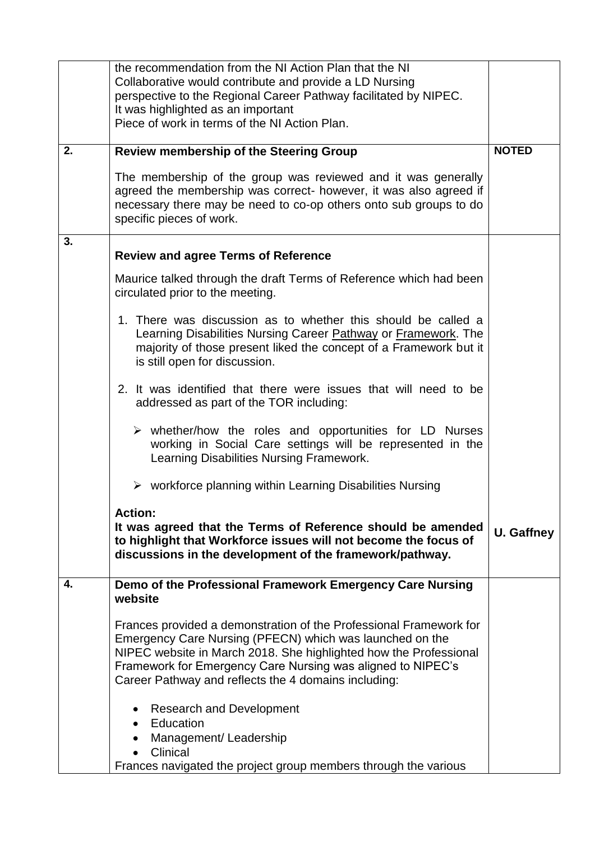|    | the recommendation from the NI Action Plan that the NI<br>Collaborative would contribute and provide a LD Nursing<br>perspective to the Regional Career Pathway facilitated by NIPEC.                                                                                                                                      |              |
|----|----------------------------------------------------------------------------------------------------------------------------------------------------------------------------------------------------------------------------------------------------------------------------------------------------------------------------|--------------|
|    | It was highlighted as an important<br>Piece of work in terms of the NI Action Plan.                                                                                                                                                                                                                                        |              |
| 2. | <b>Review membership of the Steering Group</b>                                                                                                                                                                                                                                                                             | <b>NOTED</b> |
|    | The membership of the group was reviewed and it was generally<br>agreed the membership was correct- however, it was also agreed if<br>necessary there may be need to co-op others onto sub groups to do<br>specific pieces of work.                                                                                        |              |
| 3. | <b>Review and agree Terms of Reference</b>                                                                                                                                                                                                                                                                                 |              |
|    | Maurice talked through the draft Terms of Reference which had been<br>circulated prior to the meeting.                                                                                                                                                                                                                     |              |
|    | 1. There was discussion as to whether this should be called a<br>Learning Disabilities Nursing Career <b>Pathway or Framework</b> . The<br>majority of those present liked the concept of a Framework but it<br>is still open for discussion.                                                                              |              |
|    | 2. It was identified that there were issues that will need to be<br>addressed as part of the TOR including:                                                                                                                                                                                                                |              |
|    | $\triangleright$ whether/how the roles and opportunities for LD Nurses<br>working in Social Care settings will be represented in the<br>Learning Disabilities Nursing Framework.                                                                                                                                           |              |
|    | $\triangleright$ workforce planning within Learning Disabilities Nursing                                                                                                                                                                                                                                                   |              |
|    | <b>Action:</b><br>It was agreed that the Terms of Reference should be amended<br>to highlight that Workforce issues will not become the focus of<br>discussions in the development of the framework/pathway.                                                                                                               | U. Gaffney   |
| 4. | Demo of the Professional Framework Emergency Care Nursing<br>website                                                                                                                                                                                                                                                       |              |
|    | Frances provided a demonstration of the Professional Framework for<br>Emergency Care Nursing (PFECN) which was launched on the<br>NIPEC website in March 2018. She highlighted how the Professional<br>Framework for Emergency Care Nursing was aligned to NIPEC's<br>Career Pathway and reflects the 4 domains including: |              |
|    | <b>Research and Development</b><br>Education<br>Management/Leadership<br>Clinical<br>Frances navigated the project group members through the various                                                                                                                                                                       |              |